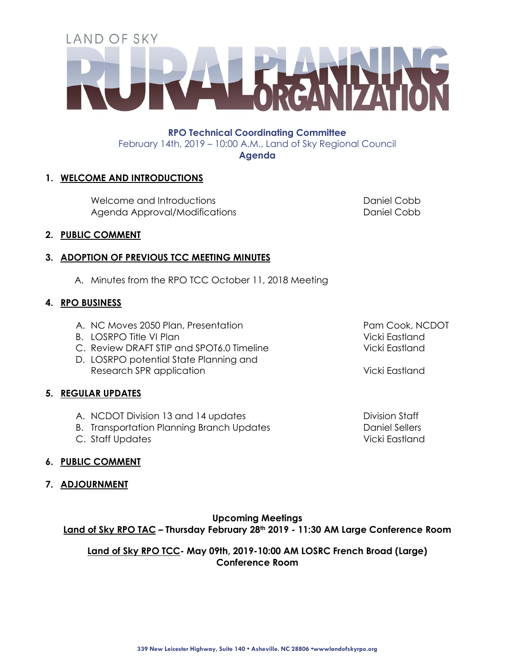# LAND OF SKY

**RPO Technical Coordinating Committee**  February 14th, 2019 – 10:00 A.M., Land of Sky Regional Council **Agenda**

#### **1. WELCOME AND INTRODUCTIONS**

Welcome and Introductions and Introductions and Daniel Cobb Agenda Approval/Modifications **Daniel Cobb** 

#### **2. PUBLIC COMMENT**

#### **3. ADOPTION OF PREVIOUS TCC MEETING MINUTES**

A. Minutes from the RPO TCC October 11, 2018 Meeting

#### **4. RPO BUSINESS**

- A. NC Moves 2050 Plan, Presentation
- B. LOSRPO Title VI Plan
- C. Review DRAFT STIP and SPOT6.0 Timeline
- D. LOSRPO potential State Planning and Research SPR application Vicki Eastland

#### **5. REGULAR UPDATES**

- A. NCDOT Division 13 and 14 updates and the Division Staff
- B. Transportation Planning Branch Updates **Daniel Sellers**
- C. Staff Updates Vicki Eastland

#### **6. PUBLIC COMMENT**

#### **7. ADJOURNMENT**

**Upcoming Meetings Land of Sky RPO TAC – Thursday February 28th 2019 - 11:30 AM Large Conference Room** 

**Land of Sky RPO TCC- May 09th, 2019-10:00 AM LOSRC French Broad (Large) Conference Room**

Pam Cook, NCDOT Vicki Eastland Vicki Eastland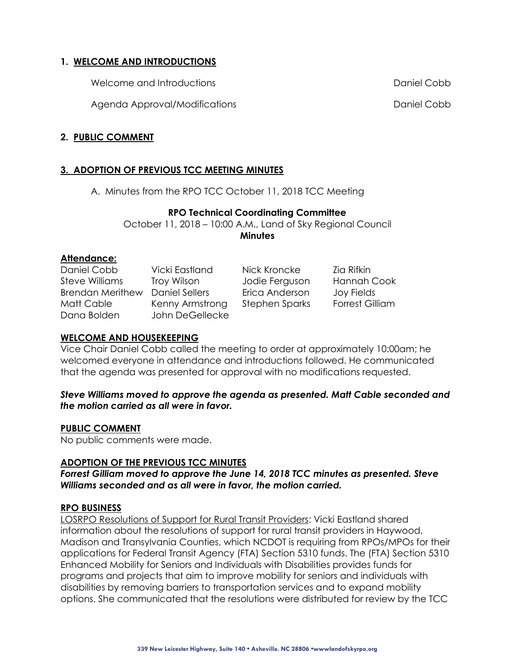#### **1. WELCOME AND INTRODUCTIONS**

Welcome and Introductions Daniel Cobb

Agenda Approval/Modifications Daniel Cobb

#### **2. PUBLIC COMMENT**

#### **3. ADOPTION OF PREVIOUS TCC MEETING MINUTES**

A. Minutes from the RPO TCC October 11, 2018 TCC Meeting

#### **RPO Technical Coordinating Committee**

October 11, 2018 – 10:00 A.M., Land of Sky Regional Council **Minutes**

#### **Attendance:**

| Daniel Cobb             | Vicki Eastland  | Nick Kroncke   | Zia Rifkin             |
|-------------------------|-----------------|----------------|------------------------|
| Steve Williams          | Troy Wilson     | Jodie Ferguson | <b>Hannah Cook</b>     |
| <b>Brendan Merithew</b> | Daniel Sellers  | Erica Anderson | Joy Fields             |
| Matt Cable              | Kenny Armstrong | Stephen Sparks | <b>Forrest Gilliam</b> |
| Dana Bolden             | John DeGellecke |                |                        |

#### **WELCOME AND HOUSEKEEPING**

Vice Chair Daniel Cobb called the meeting to order at approximately 10:00am; he welcomed everyone in attendance and introductions followed. He communicated that the agenda was presented for approval with no modifications requested.

#### *Steve Williams moved to approve the agenda as presented. Matt Cable seconded and the motion carried as all were in favor.*

#### **PUBLIC COMMENT**

No public comments were made.

#### **ADOPTION OF THE PREVIOUS TCC MINUTES**

*Forrest Gilliam moved to approve the June 14, 2018 TCC minutes as presented. Steve Williams seconded and as all were in favor, the motion carried.*

#### **RPO BUSINESS**

LOSRPO Resolutions of Support for Rural Transit Providers: Vicki Eastland shared information about the resolutions of support for rural transit providers in Haywood, Madison and Transylvania Counties, which NCDOT is requiring from RPOs/MPOs for their applications for Federal Transit Agency (FTA) Section 5310 funds. The (FTA) Section 5310 Enhanced Mobility for Seniors and Individuals with Disabilities provides funds for programs and projects that aim to improve mobility for seniors and individuals with disabilities by removing barriers to transportation services and to expand mobility options. She communicated that the resolutions were distributed for review by the TCC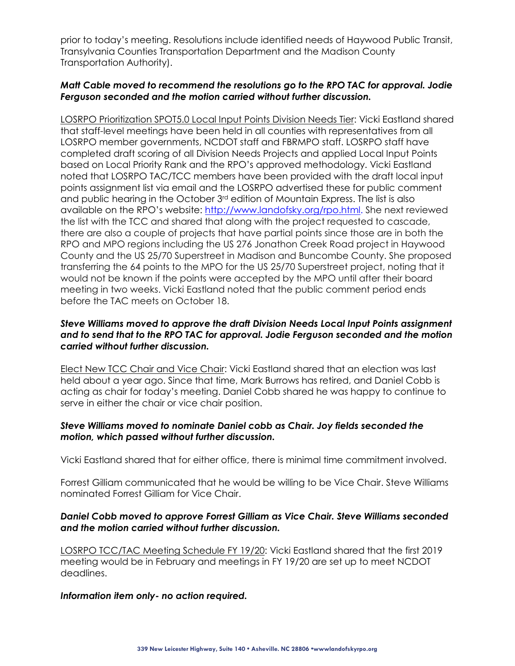prior to today's meeting. Resolutions include identified needs of Haywood Public Transit, Transylvania Counties Transportation Department and the Madison County Transportation Authority).

#### *Matt Cable moved to recommend the resolutions go to the RPO TAC for approval. Jodie Ferguson seconded and the motion carried without further discussion.*

LOSRPO Prioritization SPOT5.0 Local Input Points Division Needs Tier: Vicki Eastland shared that staff-level meetings have been held in all counties with representatives from all LOSRPO member governments, NCDOT staff and FBRMPO staff. LOSRPO staff have completed draft scoring of all Division Needs Projects and applied Local Input Points based on Local Priority Rank and the RPO's approved methodology. Vicki Eastland noted that LOSRPO TAC/TCC members have been provided with the draft local input points assignment list via email and the LOSRPO advertised these for public comment and public hearing in the October 3rd edition of Mountain Express. The list is also available on the RPO's website: [http://www.landofsky.org/rpo.html.](http://www.landofsky.org/rpo.html) She next reviewed the list with the TCC and shared that along with the project requested to cascade, there are also a couple of projects that have partial points since those are in both the RPO and MPO regions including the US 276 Jonathon Creek Road project in Haywood County and the US 25/70 Superstreet in Madison and Buncombe County. She proposed transferring the 64 points to the MPO for the US 25/70 Superstreet project, noting that it would not be known if the points were accepted by the MPO until after their board meeting in two weeks. Vicki Eastland noted that the public comment period ends before the TAC meets on October 18.

#### *Steve Williams moved to approve the draft Division Needs Local Input Points assignment and to send that to the RPO TAC for approval. Jodie Ferguson seconded and the motion carried without further discussion.*

Elect New TCC Chair and Vice Chair: Vicki Eastland shared that an election was last held about a year ago. Since that time, Mark Burrows has retired, and Daniel Cobb is acting as chair for today's meeting. Daniel Cobb shared he was happy to continue to serve in either the chair or vice chair position.

#### *Steve Williams moved to nominate Daniel cobb as Chair. Joy fields seconded the motion, which passed without further discussion.*

Vicki Eastland shared that for either office, there is minimal time commitment involved.

Forrest Gilliam communicated that he would be willing to be Vice Chair. Steve Williams nominated Forrest Gilliam for Vice Chair.

#### *Daniel Cobb moved to approve Forrest Gilliam as Vice Chair. Steve Williams seconded and the motion carried without further discussion.*

LOSRPO TCC/TAC Meeting Schedule FY 19/20: Vicki Eastland shared that the first 2019 meeting would be in February and meetings in FY 19/20 are set up to meet NCDOT deadlines.

#### *Information item only- no action required.*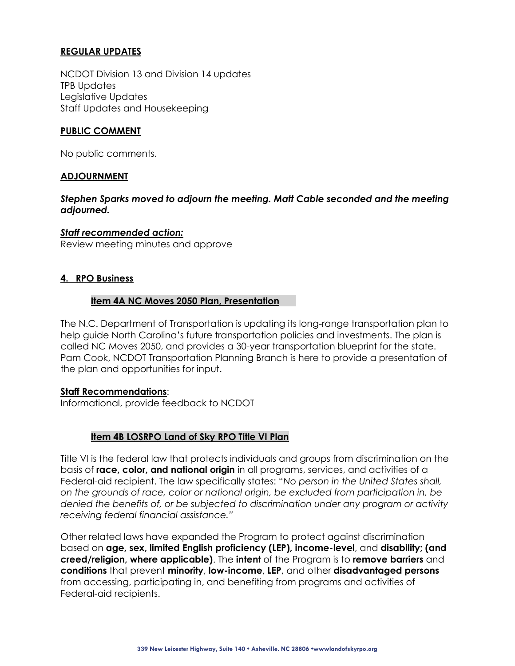#### **REGULAR UPDATES**

NCDOT Division 13 and Division 14 updates TPB Updates Legislative Updates Staff Updates and Housekeeping

#### **PUBLIC COMMENT**

No public comments.

#### **ADJOURNMENT**

*Stephen Sparks moved to adjourn the meeting. Matt Cable seconded and the meeting adjourned.*

#### *Staff recommended action:*

Review meeting minutes and approve

#### **4. RPO Business**

#### **Item 4A NC Moves 2050 Plan, Presentation**

The N.C. Department of Transportation is updating its long-range transportation plan to help guide North Carolina's future transportation policies and investments. The plan is called NC Moves 2050, and provides a 30-year transportation blueprint for the state. Pam Cook, NCDOT Transportation Planning Branch is here to provide a presentation of the plan and opportunities for input.

#### **Staff Recommendations**:

Informational, provide feedback to NCDOT

#### **Item 4B LOSRPO Land of Sky RPO Title VI Plan**

Title VI is the federal law that protects individuals and groups from discrimination on the basis of **race, color, and national origin** in all programs, services, and activities of a Federal-aid recipient. The law specifically states: "*No person in the United States shall, on the grounds of race, color or national origin, be excluded from participation in, be denied the benefits of, or be subjected to discrimination under any program or activity receiving federal financial assistance."*

Other related laws have expanded the Program to protect against discrimination based on **age, sex, limited English proficiency (LEP), income-level**, and **disability; (and creed/religion, where applicable)**. The **intent** of the Program is to **remove barriers** and **conditions** that prevent **minority**, **low-income**, **LEP**, and other **disadvantaged persons** from accessing, participating in, and benefiting from programs and activities of Federal-aid recipients.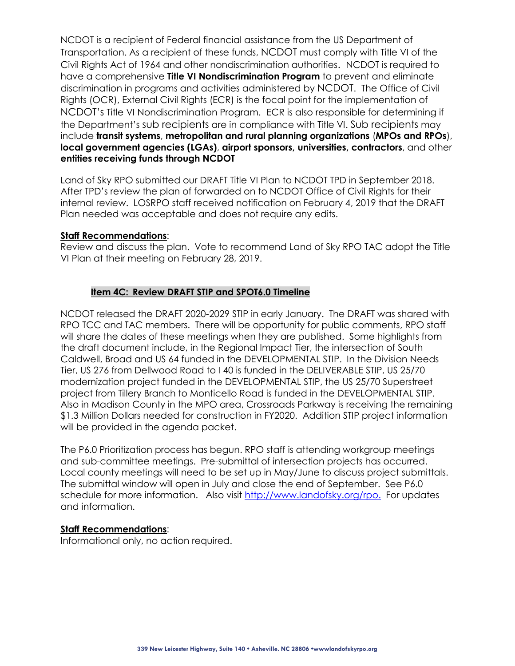NCDOT is a recipient of Federal financial assistance from the US Department of Transportation. As a recipient of these funds, NCDOT must comply with Title VI of the Civil Rights Act of 1964 and other nondiscrimination authorities. NCDOT is required to have a comprehensive **Title VI Nondiscrimination Program** to prevent and eliminate discrimination in programs and activities administered by NCDOT. The Office of Civil Rights (OCR), External Civil Rights (ECR) is the focal point for the implementation of NCDOT's Title VI Nondiscrimination Program. ECR is also responsible for determining if the Department's sub recipients are in compliance with Title VI. Sub recipients may include **transit systems**, **metropolitan and rural planning organizations** (**MPOs and RPOs**), **local government agencies (LGAs)**, **airport sponsors, universities, contractors**, and other **entities receiving funds through NCDOT**

Land of Sky RPO submitted our DRAFT Title VI Plan to NCDOT TPD in September 2018. After TPD's review the plan of forwarded on to NCDOT Office of Civil Rights for their internal review. LOSRPO staff received notification on February 4, 2019 that the DRAFT Plan needed was acceptable and does not require any edits.

#### **Staff Recommendations**:

Review and discuss the plan. Vote to recommend Land of Sky RPO TAC adopt the Title VI Plan at their meeting on February 28, 2019.

#### **Item 4C: Review DRAFT STIP and SPOT6.0 Timeline**

NCDOT released the DRAFT 2020-2029 STIP in early January. The DRAFT was shared with RPO TCC and TAC members. There will be opportunity for public comments, RPO staff will share the dates of these meetings when they are published. Some highlights from the draft document include, in the Regional Impact Tier, the intersection of South Caldwell, Broad and US 64 funded in the DEVELOPMENTAL STIP. In the Division Needs Tier, US 276 from Dellwood Road to I 40 is funded in the DELIVERABLE STIP, US 25/70 modernization project funded in the DEVELOPMENTAL STIP, the US 25/70 Superstreet project from Tillery Branch to Monticello Road is funded in the DEVELOPMENTAL STIP. Also in Madison County in the MPO area, Crossroads Parkway is receiving the remaining \$1.3 Million Dollars needed for construction in FY2020. Addition STIP project information will be provided in the agenda packet.

The P6.0 Prioritization process has begun. RPO staff is attending workgroup meetings and sub-committee meetings. Pre-submittal of intersection projects has occurred. Local county meetings will need to be set up in May/June to discuss project submittals. The submittal window will open in July and close the end of September. See P6.0 schedule for more information. Also visit [http://www.landofsky.org/rpo.](http://www.landofsky.org/rpo.html) For updates and information.

#### **Staff Recommendations**:

Informational only, no action required.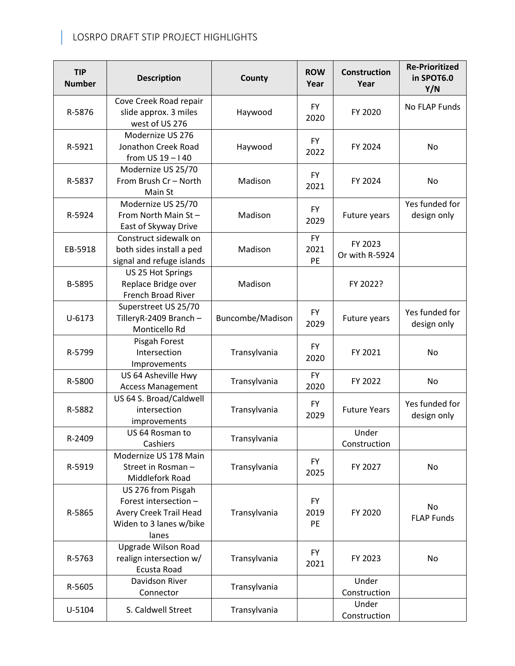## LOSRPO DRAFT STIP PROJECT HIGHLIGHTS

| <b>TIP</b><br><b>Number</b> | <b>Description</b>                                                                                        | <b>ROW</b><br>County<br>Year |                         | <b>Construction</b><br>Year | <b>Re-Prioritized</b><br>in SPOT6.0<br>Y/N |  |
|-----------------------------|-----------------------------------------------------------------------------------------------------------|------------------------------|-------------------------|-----------------------------|--------------------------------------------|--|
| R-5876                      | Cove Creek Road repair<br>slide approx. 3 miles<br>west of US 276                                         | Haywood                      | <b>FY</b><br>2020       | FY 2020                     | No FLAP Funds                              |  |
| R-5921                      | Modernize US 276<br>Jonathon Creek Road<br>from $US 19 - 140$                                             | Haywood                      | <b>FY</b><br>2022       | FY 2024                     | No                                         |  |
| R-5837                      | Modernize US 25/70<br>From Brush Cr - North<br>Main St                                                    | Madison                      | <b>FY</b><br>2021       | FY 2024                     | <b>No</b>                                  |  |
| R-5924                      | Modernize US 25/70<br>From North Main St-<br>East of Skyway Drive                                         | Madison                      | <b>FY</b><br>2029       | Future years                | Yes funded for<br>design only              |  |
| EB-5918                     | Construct sidewalk on<br>both sides install a ped<br>signal and refuge islands                            | Madison                      | <b>FY</b><br>2021<br>PE | FY 2023<br>Or with R-5924   |                                            |  |
| B-5895                      | US 25 Hot Springs<br>Replace Bridge over<br>French Broad River                                            | Madison                      |                         | FY 2022?                    |                                            |  |
| $U - 6173$                  | Superstreet US 25/70<br>TilleryR-2409 Branch -<br>Monticello Rd                                           | Buncombe/Madison             | <b>FY</b><br>2029       | Future years                | Yes funded for<br>design only              |  |
| R-5799                      | Pisgah Forest<br>Intersection<br>Improvements                                                             | Transylvania                 | <b>FY</b><br>2020       | FY 2021                     | <b>No</b>                                  |  |
| R-5800                      | US 64 Asheville Hwy<br><b>Access Management</b>                                                           | Transylvania                 | <b>FY</b><br>2020       | FY 2022                     | No                                         |  |
| R-5882                      | US 64 S. Broad/Caldwell<br>intersection<br>improvements                                                   | Transylvania                 | <b>FY</b><br>2029       | <b>Future Years</b>         | Yes funded for<br>design only              |  |
| R-2409                      | US 64 Rosman to<br>Cashiers                                                                               | Transylvania                 |                         | Under<br>Construction       |                                            |  |
| R-5919                      | Modernize US 178 Main<br>Street in Rosman -<br>Middlefork Road                                            | Transylvania                 | <b>FY</b><br>2025       | FY 2027                     | No                                         |  |
| R-5865                      | US 276 from Pisgah<br>Forest intersection -<br>Avery Creek Trail Head<br>Widen to 3 lanes w/bike<br>lanes | Transylvania                 | <b>FY</b><br>2019<br>PE | FY 2020                     | No<br><b>FLAP Funds</b>                    |  |
| R-5763                      | Upgrade Wilson Road<br>realign intersection w/<br>Ecusta Road                                             | Transylvania                 | <b>FY</b><br>2021       | FY 2023                     | No                                         |  |
| R-5605                      | Davidson River<br>Connector                                                                               | Transylvania                 |                         | Under<br>Construction       |                                            |  |
| U-5104                      | S. Caldwell Street                                                                                        | Transylvania                 |                         | Under<br>Construction       |                                            |  |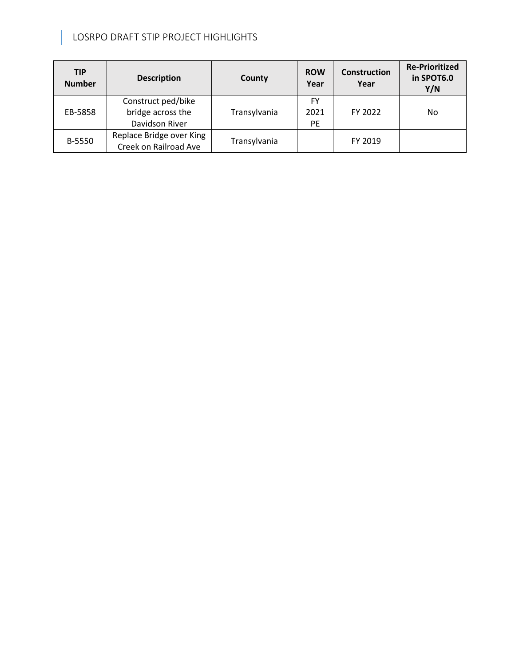### LOSRPO DRAFT STIP PROJECT HIGHLIGHTS

| <b>TIP</b><br><b>Number</b> | <b>Description</b>                                        | County       | <b>ROW</b><br>Year      | <b>Construction</b><br>Year | <b>Re-Prioritized</b><br>in SPOT6.0<br>Y/N |  |  |
|-----------------------------|-----------------------------------------------------------|--------------|-------------------------|-----------------------------|--------------------------------------------|--|--|
| EB-5858                     | Construct ped/bike<br>bridge across the<br>Davidson River | Transylvania | FY<br>2021<br><b>PE</b> | FY 2022                     | No                                         |  |  |
| B-5550                      | Replace Bridge over King<br>Creek on Railroad Ave         | Transylvania |                         | FY 2019                     |                                            |  |  |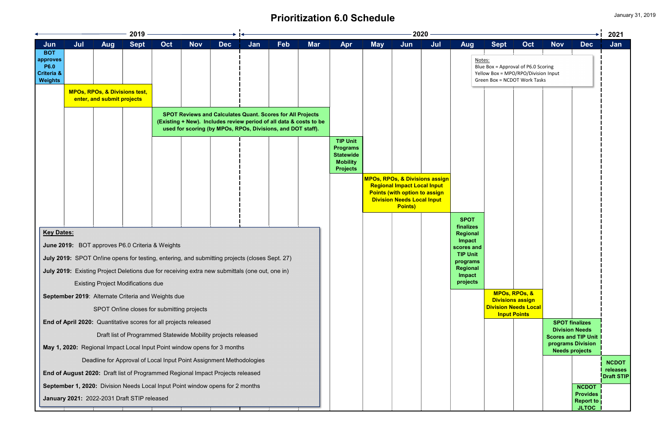# **Prioritization 6.0 Schedule**

|                                                 |     |   |                                                |                            | 2021                          |
|-------------------------------------------------|-----|---|------------------------------------------------|----------------------------|-------------------------------|
| <b>Sept</b><br>i<br>Bandara                     | Oct | I | <b>Nov</b>                                     | İ<br><b>Dec</b>            | Jan                           |
| ļ                                               |     | I | l                                              |                            |                               |
| <u>tes:</u><br>e Box = Approval of P6.0 Scoring |     |   |                                                |                            |                               |
| low Box = MPO/RPO/Division Input                |     |   |                                                |                            |                               |
| en Box = NCDOT Work Tasks                       |     |   |                                                |                            |                               |
|                                                 |     |   |                                                |                            |                               |
|                                                 |     |   |                                                |                            |                               |
|                                                 |     |   |                                                |                            |                               |
|                                                 |     |   |                                                |                            |                               |
|                                                 |     |   |                                                |                            |                               |
|                                                 |     |   |                                                |                            |                               |
|                                                 |     |   |                                                |                            |                               |
|                                                 |     |   |                                                |                            |                               |
|                                                 |     |   |                                                |                            |                               |
|                                                 |     |   |                                                |                            |                               |
|                                                 |     |   |                                                |                            |                               |
|                                                 |     |   |                                                |                            |                               |
|                                                 |     |   |                                                |                            |                               |
|                                                 |     |   |                                                |                            |                               |
|                                                 |     |   |                                                |                            |                               |
|                                                 |     |   |                                                |                            |                               |
|                                                 |     |   |                                                |                            |                               |
|                                                 |     |   |                                                |                            |                               |
|                                                 |     |   |                                                |                            |                               |
|                                                 |     |   |                                                |                            |                               |
|                                                 |     |   |                                                |                            |                               |
| <b>MPOs, RPOs, &amp;</b>                        |     |   |                                                |                            |                               |
| <b>Divisions assign</b>                         |     |   |                                                |                            |                               |
| <b>Division Needs Local</b>                     |     |   |                                                |                            |                               |
| <b>Input Points</b>                             |     |   |                                                |                            |                               |
|                                                 |     |   | <b>SPOT finalizes</b><br><b>Division Needs</b> |                            |                               |
|                                                 |     |   |                                                | <b>Scores and TIP Unit</b> |                               |
|                                                 |     |   |                                                | programs Division          |                               |
|                                                 |     |   | <b>Needs projects</b>                          |                            |                               |
|                                                 |     |   |                                                |                            | <b>NCDOT</b>                  |
|                                                 |     |   |                                                |                            | releases<br><b>Draft STIP</b> |
|                                                 |     |   |                                                | <b>NCDOT</b>               |                               |
|                                                 |     |   |                                                | <b>Provides</b>            |                               |
|                                                 |     |   |                                                | <b>Report to</b>           |                               |
|                                                 |     |   |                                                | <b>JLTOC</b>               |                               |

|                                                                                  |     |                            | 2019                                                                                           |     |            |                                                                                                                                  |     |            |                                                                    |                                                                                              |            |                                                                                                                                                                                | $2020 \,$ |                                           |                                                                                                            |                         |                       |                                     | 202'              |
|----------------------------------------------------------------------------------|-----|----------------------------|------------------------------------------------------------------------------------------------|-----|------------|----------------------------------------------------------------------------------------------------------------------------------|-----|------------|--------------------------------------------------------------------|----------------------------------------------------------------------------------------------|------------|--------------------------------------------------------------------------------------------------------------------------------------------------------------------------------|-----------|-------------------------------------------|------------------------------------------------------------------------------------------------------------|-------------------------|-----------------------|-------------------------------------|-------------------|
| Jun                                                                              | Jul | <b>Aug</b>                 | <b>Sept</b>                                                                                    | Oct | <b>Nov</b> | <b>Dec</b>                                                                                                                       | Jan | <b>Feb</b> | <b>Mar</b>                                                         | Apr                                                                                          | <b>May</b> | Jun                                                                                                                                                                            | Jul       | <b>Aug</b>                                | <b>Sept</b>                                                                                                | Oct                     | <b>Nov</b>            | <b>Dec</b>                          | Jan               |
| <b>BOT</b><br>approves<br><b>P6.0</b><br><b>Criteria &amp;</b><br><b>Weights</b> |     |                            |                                                                                                |     |            |                                                                                                                                  |     |            |                                                                    |                                                                                              |            |                                                                                                                                                                                |           | Notes:                                    | Blue Box = Approval of P6.0 Scoring<br>Yellow Box = MPO/RPO/Division Input<br>Green Box = NCDOT Work Tasks |                         |                       |                                     |                   |
|                                                                                  |     | enter, and submit projects | <b>MPOs, RPOs, &amp; Divisions test,</b>                                                       |     |            |                                                                                                                                  |     |            |                                                                    |                                                                                              |            |                                                                                                                                                                                |           |                                           |                                                                                                            |                         |                       |                                     |                   |
|                                                                                  |     |                            |                                                                                                |     |            | <b>SPOT Reviews and Calculates Quant. Scores for All Projects</b><br>used for scoring (by MPOs, RPOs, Divisions, and DOT staff). |     |            | (Existing + New). Includes review period of all data & costs to be |                                                                                              |            |                                                                                                                                                                                |           |                                           |                                                                                                            |                         |                       |                                     |                   |
|                                                                                  |     |                            |                                                                                                |     |            |                                                                                                                                  |     |            |                                                                    | <b>TIP Unit</b><br><b>Programs</b><br><b>Statewide</b><br><b>Mobility</b><br><b>Projects</b> |            |                                                                                                                                                                                |           |                                           |                                                                                                            |                         |                       |                                     |                   |
|                                                                                  |     |                            |                                                                                                |     |            |                                                                                                                                  |     |            |                                                                    |                                                                                              |            | <b>MPOs, RPOs, &amp; Divisions assign</b><br><b>Regional Impact Local Input</b><br><b>Points (with option to assign</b><br><b>Division Needs Local Input</b><br><b>Points)</b> |           |                                           |                                                                                                            |                         |                       |                                     |                   |
|                                                                                  |     |                            |                                                                                                |     |            |                                                                                                                                  |     |            |                                                                    |                                                                                              |            |                                                                                                                                                                                |           | <b>SPOT</b><br>finalizes                  |                                                                                                            |                         |                       |                                     |                   |
| <b>Key Dates:</b>                                                                |     |                            | June 2019: BOT approves P6.0 Criteria & Weights                                                |     |            |                                                                                                                                  |     |            |                                                                    |                                                                                              |            |                                                                                                                                                                                |           | <b>Regional</b><br>Impact                 |                                                                                                            |                         |                       |                                     |                   |
|                                                                                  |     |                            | July 2019: SPOT Online opens for testing, entering, and submitting projects (closes Sept. 27)  |     |            |                                                                                                                                  |     |            |                                                                    |                                                                                              |            |                                                                                                                                                                                |           | scores and<br><b>TIP Unit</b><br>programs |                                                                                                            |                         |                       |                                     |                   |
|                                                                                  |     |                            | July 2019: Existing Project Deletions due for receiving extra new submittals (one out, one in) |     |            |                                                                                                                                  |     |            |                                                                    |                                                                                              |            |                                                                                                                                                                                |           | Regional<br>Impact                        |                                                                                                            |                         |                       |                                     |                   |
|                                                                                  |     |                            | <b>Existing Project Modifications due</b>                                                      |     |            |                                                                                                                                  |     |            |                                                                    |                                                                                              |            |                                                                                                                                                                                |           | projects                                  |                                                                                                            |                         |                       |                                     |                   |
|                                                                                  |     |                            | September 2019: Alternate Criteria and Weights due                                             |     |            |                                                                                                                                  |     |            |                                                                    |                                                                                              |            |                                                                                                                                                                                |           |                                           | <b>MPOs, RPOs, &amp;</b>                                                                                   | <b>Divisions assign</b> |                       |                                     |                   |
|                                                                                  |     |                            | SPOT On!ine closes for submitting projects                                                     |     |            |                                                                                                                                  |     |            |                                                                    |                                                                                              |            |                                                                                                                                                                                |           |                                           | <b>Division Needs Local</b><br><b>Input Points</b>                                                         |                         |                       |                                     |                   |
|                                                                                  |     |                            | End of April 2020: Quantitative scores for all projects released                               |     |            |                                                                                                                                  |     |            |                                                                    |                                                                                              |            |                                                                                                                                                                                |           |                                           |                                                                                                            |                         | <b>SPOT finalizes</b> |                                     |                   |
|                                                                                  |     |                            | Draft list of Programmed Statewide Mobility projects released                                  |     |            |                                                                                                                                  |     |            |                                                                    |                                                                                              |            |                                                                                                                                                                                |           |                                           |                                                                                                            |                         | <b>Division Needs</b> | <b>Scores and TIP Unit</b>          |                   |
|                                                                                  |     |                            | May 1, 2020: Regional Impact Local Input Point window opens for 3 months                       |     |            |                                                                                                                                  |     |            |                                                                    |                                                                                              |            |                                                                                                                                                                                |           |                                           |                                                                                                            |                         | <b>Needs projects</b> | programs Division                   |                   |
|                                                                                  |     |                            | Deadline for Approval of Local Input Point Assignment Methodologies                            |     |            |                                                                                                                                  |     |            |                                                                    |                                                                                              |            |                                                                                                                                                                                |           |                                           |                                                                                                            |                         |                       |                                     | <b>NCDC</b>       |
|                                                                                  |     |                            | End of August 2020: Draft list of Programmed Regional Impact Projects released                 |     |            |                                                                                                                                  |     |            |                                                                    |                                                                                              |            |                                                                                                                                                                                |           |                                           |                                                                                                            |                         |                       |                                     | releas<br>Draft S |
|                                                                                  |     |                            | September 1, 2020: Division Needs Local Input Point window opens for 2 months                  |     |            |                                                                                                                                  |     |            |                                                                    |                                                                                              |            |                                                                                                                                                                                |           |                                           |                                                                                                            |                         |                       | <b>NCDOT</b>                        |                   |
|                                                                                  |     |                            | January 2021: 2022-2031 Draft STIP released                                                    |     |            |                                                                                                                                  |     |            |                                                                    |                                                                                              |            |                                                                                                                                                                                |           |                                           |                                                                                                            |                         |                       | <b>Provides</b><br><b>Report to</b> |                   |
|                                                                                  |     |                            |                                                                                                |     |            |                                                                                                                                  |     |            |                                                                    |                                                                                              |            |                                                                                                                                                                                |           |                                           |                                                                                                            |                         |                       | <b>JLTOC</b>                        |                   |